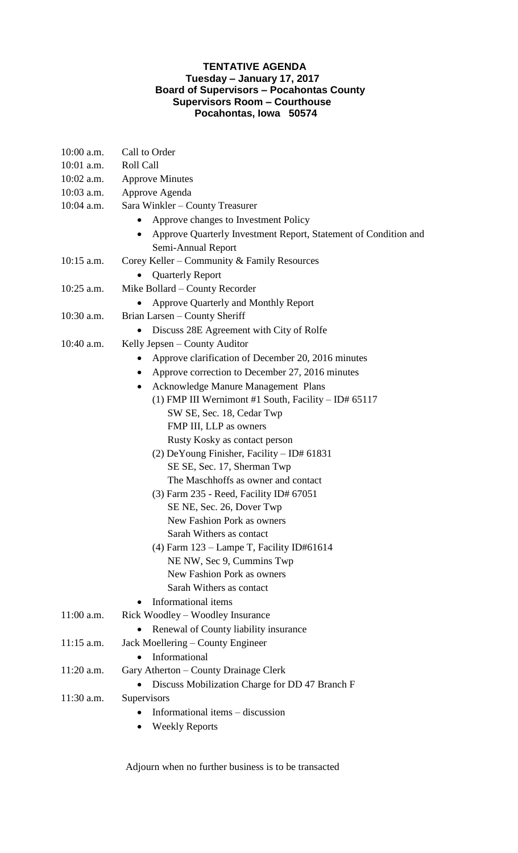## **TENTATIVE AGENDA Tuesday – January 17, 2017 Board of Supervisors – Pocahontas County Supervisors Room – Courthouse Pocahontas, Iowa 50574**

| $10:00$ a.m. | Call to Order                                                                |
|--------------|------------------------------------------------------------------------------|
| $10:01$ a.m. | Roll Call                                                                    |
| 10:02 a.m.   | <b>Approve Minutes</b>                                                       |
| 10:03 a.m.   | Approve Agenda                                                               |
| 10:04 a.m.   | Sara Winkler - County Treasurer                                              |
|              | Approve changes to Investment Policy                                         |
|              | Approve Quarterly Investment Report, Statement of Condition and<br>$\bullet$ |
|              | Semi-Annual Report                                                           |
| $10:15$ a.m. | Corey Keller – Community & Family Resources                                  |
|              | <b>Quarterly Report</b>                                                      |
| $10:25$ a.m. | Mike Bollard - County Recorder                                               |
|              | Approve Quarterly and Monthly Report                                         |
| $10:30$ a.m. | Brian Larsen – County Sheriff                                                |
|              | Discuss 28E Agreement with City of Rolfe                                     |
| 10:40 a.m.   | Kelly Jepsen – County Auditor                                                |
|              | Approve clarification of December 20, 2016 minutes                           |
|              | Approve correction to December 27, 2016 minutes                              |
|              | Acknowledge Manure Management Plans<br>$\bullet$                             |
|              | (1) FMP III Wernimont #1 South, Facility $-$ ID# 65117                       |
|              | SW SE, Sec. 18, Cedar Twp                                                    |
|              | FMP III, LLP as owners                                                       |
|              | Rusty Kosky as contact person                                                |
|              | $(2)$ DeYoung Finisher, Facility – ID# 61831                                 |
|              | SE SE, Sec. 17, Sherman Twp                                                  |
|              | The Maschhoffs as owner and contact                                          |
|              | $(3)$ Farm 235 - Reed, Facility ID# 67051                                    |
|              | SE NE, Sec. 26, Dover Twp                                                    |
|              | New Fashion Pork as owners                                                   |
|              | Sarah Withers as contact                                                     |
|              | (4) Farm $123$ – Lampe T, Facility ID#61614                                  |
|              | NE NW, Sec 9, Cummins Twp                                                    |
|              | New Fashion Pork as owners                                                   |
|              | Sarah Withers as contact                                                     |
|              | Informational items                                                          |
| $11:00$ a.m. | Rick Woodley – Woodley Insurance                                             |
|              | Renewal of County liability insurance                                        |
| $11:15$ a.m. | Jack Moellering - County Engineer                                            |
|              | Informational<br>$\bullet$                                                   |
| $11:20$ a.m. | Gary Atherton – County Drainage Clerk                                        |
|              | Discuss Mobilization Charge for DD 47 Branch F                               |
| $11:30$ a.m. | Supervisors                                                                  |
|              | Informational items – discussion                                             |
|              | <b>Weekly Reports</b>                                                        |

Adjourn when no further business is to be transacted